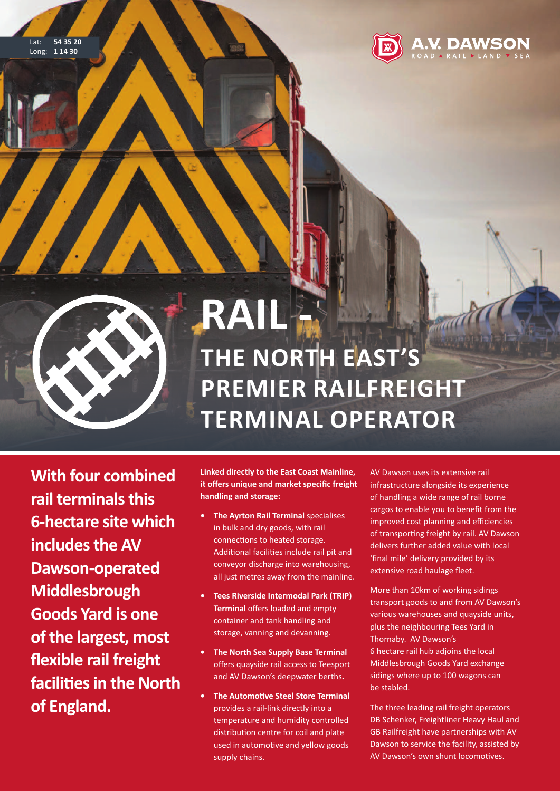

**DAWSON** 



## **RAIL - ThE NoRTh EAsT's PREMIER RAILFREIGhT TERMINAL oPERAToR**

**With four combined rail terminalsthis 6-hectare site which includesthe AV Dawson-operated Middlesbrough Goods Yard is one of the largest, most flexible rail freight facilitiesin the North of England.**

**Linked directly to the East Coast Mainline, it offers unique and market specific freight handling and storage:**

- **• The Ayrton Rail Terminal** specialises in bulk and dry goods, with rail connections to heated storage. Additional facilities include rail pit and conveyor discharge into warehousing, all just metres away from the mainline.
- **• Tees Riverside Intermodal Park (TRIP) Terminal** offers loaded and empty container and tank handling and storage, vanning and devanning.
- **• The North sea supply Base Terminal** offers quayside rail access to Teesport and AV Dawson's deepwater berths**.**
- **• The Automotive steel store Terminal** provides a rail-link directly into a temperature and humidity controlled distribution centre for coil and plate used in automotive and yellow goods supply chains.

AV Dawson uses its extensive rail infrastructure alongside its experience of handling a wide range of rail borne cargos to enable you to benefit from the improved cost planning and efficiencies of transporting freight by rail. AV Dawson delivers further added value with local 'final mile' delivery provided by its extensive road haulage fleet.

More than 10km of working sidings transport goods to and from AV Dawson's various warehouses and quayside units, plus the neighbouring Tees Yard in Thornaby. AV Dawson's 6 hectare rail hub adjoins the local Middlesbrough Goods Yard exchange sidings where up to 100 wagons can be stabled.

The three leading rail freight operators DB Schenker, Freightliner Heavy Haul and GB Railfreight have partnerships with AV Dawson to service the facility, assisted by AV Dawson's own shunt locomotives.